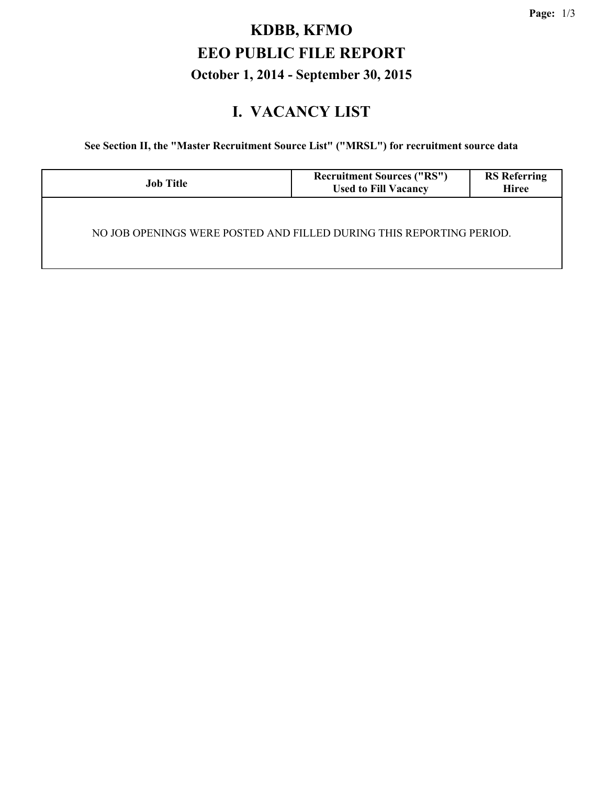## **KDBB, KFMO EEO PUBLIC FILE REPORT October 1, 2014 - September 30, 2015**

#### **I. VACANCY LIST**

**See Section II, the "Master Recruitment Source List" ("MRSL") for recruitment source data**

| <b>Job Title</b>                                                     | <b>Recruitment Sources ("RS")</b><br><b>Used to Fill Vacancy</b> | <b>RS</b> Referring<br><b>Hiree</b> |
|----------------------------------------------------------------------|------------------------------------------------------------------|-------------------------------------|
| NO JOB OPENINGS WERE POSTED AND FILLED DURING THIS REPORTING PERIOD. |                                                                  |                                     |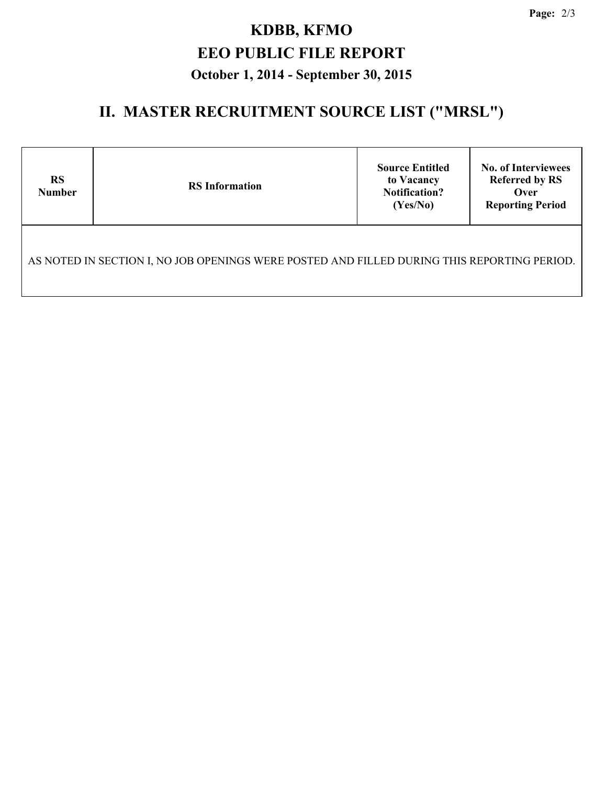# **KDBB, KFMO EEO PUBLIC FILE REPORT October 1, 2014 - September 30, 2015**

### **II. MASTER RECRUITMENT SOURCE LIST ("MRSL")**

| <b>RS</b><br><b>Number</b>                                                                  | <b>RS</b> Information | <b>Source Entitled</b><br>to Vacancy<br><b>Notification?</b><br>(Yes/No) | <b>No. of Interviewees</b><br><b>Referred by RS</b><br>Over<br><b>Reporting Period</b> |  |  |  |  |
|---------------------------------------------------------------------------------------------|-----------------------|--------------------------------------------------------------------------|----------------------------------------------------------------------------------------|--|--|--|--|
| AS NOTED IN SECTION I, NO JOB OPENINGS WERE POSTED AND FILLED DURING THIS REPORTING PERIOD. |                       |                                                                          |                                                                                        |  |  |  |  |